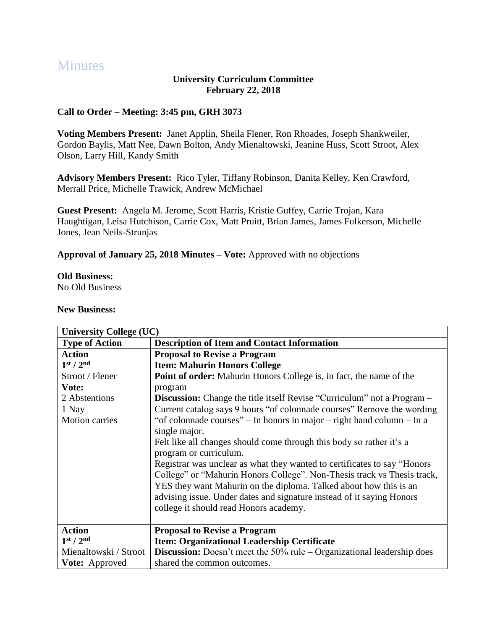# **Minutes**

### **University Curriculum Committee February 22, 2018**

## **Call to Order – Meeting: 3:45 pm, GRH 3073**

**Voting Members Present:** Janet Applin, Sheila Flener, Ron Rhoades, Joseph Shankweiler, Gordon Baylis, Matt Nee, Dawn Bolton, Andy Mienaltowski, Jeanine Huss, Scott Stroot, Alex Olson, Larry Hill, Kandy Smith

**Advisory Members Present:** Rico Tyler, Tiffany Robinson, Danita Kelley, Ken Crawford, Merrall Price, Michelle Trawick, Andrew McMichael

**Guest Present:** Angela M. Jerome, Scott Harris, Kristie Guffey, Carrie Trojan, Kara Haughtigan, Leisa Hutchison, Carrie Cox, Matt Pruitt, Brian James, James Fulkerson, Michelle Jones, Jean Neils-Strunjas

**Approval of January 25, 2018 Minutes – Vote:** Approved with no objections

#### **Old Business:**

No Old Business

#### **New Business:**

| <b>University College (UC)</b>    |                                                                                  |
|-----------------------------------|----------------------------------------------------------------------------------|
| <b>Type of Action</b>             | <b>Description of Item and Contact Information</b>                               |
| <b>Action</b>                     | <b>Proposal to Revise a Program</b>                                              |
| 1 <sup>st</sup> / 2 <sup>nd</sup> | <b>Item: Mahurin Honors College</b>                                              |
| Stroot / Flener                   | <b>Point of order:</b> Mahurin Honors College is, in fact, the name of the       |
| Vote:                             | program                                                                          |
| 2 Abstentions                     | <b>Discussion:</b> Change the title itself Revise "Curriculum" not a Program –   |
| 1 Nay                             | Current catalog says 9 hours "of colonnade courses" Remove the wording           |
| <b>Motion carries</b>             | "of colonnade courses" – In honors in major – right hand column – In a           |
|                                   | single major.                                                                    |
|                                   | Felt like all changes should come through this body so rather it's a             |
|                                   | program or curriculum.                                                           |
|                                   | Registrar was unclear as what they wanted to certificates to say "Honors"        |
|                                   | College" or "Mahurin Honors College". Non-Thesis track vs Thesis track,          |
|                                   | YES they want Mahurin on the diploma. Talked about how this is an                |
|                                   | advising issue. Under dates and signature instead of it saying Honors            |
|                                   | college it should read Honors academy.                                           |
|                                   |                                                                                  |
| <b>Action</b>                     | <b>Proposal to Revise a Program</b>                                              |
| 1 <sup>st</sup> / 2 <sup>nd</sup> | Item: Organizational Leadership Certificate                                      |
| Mienaltowski / Stroot             | <b>Discussion:</b> Doesn't meet the $50\%$ rule – Organizational leadership does |
| <b>Vote:</b> Approved             | shared the common outcomes.                                                      |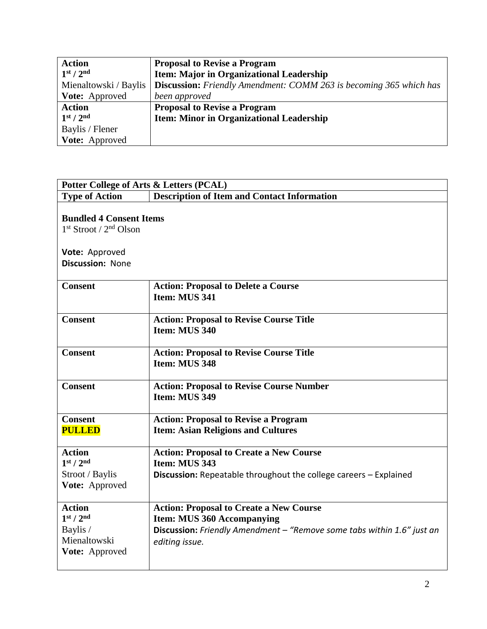| <b>Action</b>                     | <b>Proposal to Revise a Program</b>                                       |
|-----------------------------------|---------------------------------------------------------------------------|
| 1 <sup>st</sup> / 2 <sup>nd</sup> | Item: Major in Organizational Leadership                                  |
| Mienaltowski / Baylis             | <b>Discussion:</b> Friendly Amendment: COMM 263 is becoming 365 which has |
| <b>Vote:</b> Approved             | been approved                                                             |
| <b>Action</b>                     | <b>Proposal to Revise a Program</b>                                       |
| 1 <sup>st</sup> / 2 <sup>nd</sup> | <b>Item: Minor in Organizational Leadership</b>                           |
| Baylis / Flener                   |                                                                           |
| Vote: Approved                    |                                                                           |

| Potter College of Arts & Letters (PCAL)                                                                   |                                                                                                                                                                                 |  |
|-----------------------------------------------------------------------------------------------------------|---------------------------------------------------------------------------------------------------------------------------------------------------------------------------------|--|
| <b>Type of Action</b>                                                                                     | <b>Description of Item and Contact Information</b>                                                                                                                              |  |
| <b>Bundled 4 Consent Items</b><br>$1st$ Stroot / $2nd$ Olson<br>Vote: Approved<br><b>Discussion: None</b> |                                                                                                                                                                                 |  |
| <b>Consent</b>                                                                                            | <b>Action: Proposal to Delete a Course</b><br>Item: MUS 341                                                                                                                     |  |
| <b>Consent</b>                                                                                            | <b>Action: Proposal to Revise Course Title</b><br>Item: MUS 340                                                                                                                 |  |
| <b>Consent</b>                                                                                            | <b>Action: Proposal to Revise Course Title</b><br>Item: MUS 348                                                                                                                 |  |
| <b>Consent</b>                                                                                            | <b>Action: Proposal to Revise Course Number</b><br>Item: MUS 349                                                                                                                |  |
| <b>Consent</b><br><b>PULLED</b>                                                                           | <b>Action: Proposal to Revise a Program</b><br><b>Item: Asian Religions and Cultures</b>                                                                                        |  |
| <b>Action</b><br>1 <sup>st</sup> / 2 <sup>nd</sup><br>Stroot / Baylis<br>Vote: Approved                   | <b>Action: Proposal to Create a New Course</b><br>Item: MUS 343<br><b>Discussion:</b> Repeatable throughout the college careers - Explained                                     |  |
| <b>Action</b><br>1 <sup>st</sup> / 2 <sup>nd</sup><br>Baylis /<br>Mienaltowski<br>Vote: Approved          | <b>Action: Proposal to Create a New Course</b><br><b>Item: MUS 360 Accompanying</b><br>Discussion: Friendly Amendment - "Remove some tabs within 1.6" just an<br>editing issue. |  |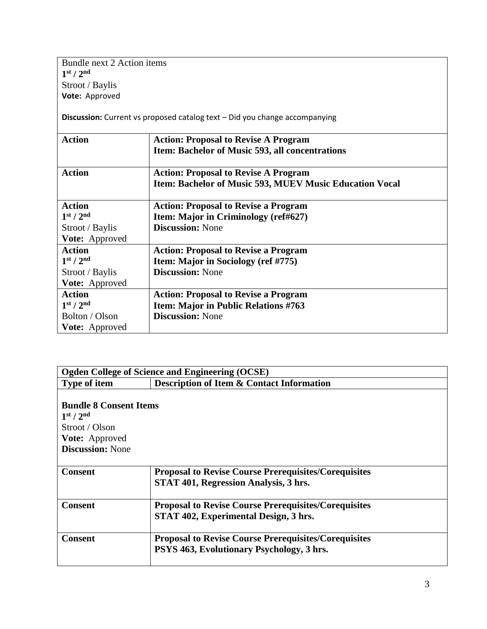Bundle next 2 Action items **1 st / 2nd** Stroot / Baylis **Vote:** Approved

**Discussion:** Current vs proposed catalog text – Did you change accompanying

| <b>Action</b>                     | <b>Action: Proposal to Revise A Program</b>                    |
|-----------------------------------|----------------------------------------------------------------|
|                                   | Item: Bachelor of Music 593, all concentrations                |
| <b>Action</b>                     | <b>Action: Proposal to Revise A Program</b>                    |
|                                   | <b>Item: Bachelor of Music 593, MUEV Music Education Vocal</b> |
| <b>Action</b>                     | <b>Action: Proposal to Revise a Program</b>                    |
| 1 <sup>st</sup> / 2 <sup>nd</sup> | Item: Major in Criminology (ref#627)                           |
| Stroot / Baylis                   | <b>Discussion: None</b>                                        |
| Vote: Approved                    |                                                                |
| <b>Action</b>                     | <b>Action: Proposal to Revise a Program</b>                    |
| 1 <sup>st</sup> / 2 <sup>nd</sup> | <b>Item: Major in Sociology (ref #775)</b>                     |
| Stroot / Baylis                   | <b>Discussion: None</b>                                        |
| Vote: Approved                    |                                                                |
| <b>Action</b>                     | <b>Action: Proposal to Revise a Program</b>                    |
| 1 <sup>st</sup> / 2 <sup>nd</sup> | Item: Major in Public Relations #763                           |
| Bolton / Olson                    | <b>Discussion:</b> None                                        |
| <b>Vote:</b> Approved             |                                                                |

| <b>Ogden College of Science and Engineering (OCSE)</b> |                                                             |  |
|--------------------------------------------------------|-------------------------------------------------------------|--|
| <b>Type of item</b>                                    | <b>Description of Item &amp; Contact Information</b>        |  |
|                                                        |                                                             |  |
| <b>Bundle 8 Consent Items</b>                          |                                                             |  |
| 1 <sup>st</sup> / 2 <sup>nd</sup>                      |                                                             |  |
| Stroot / Olson                                         |                                                             |  |
| <b>Vote:</b> Approved                                  |                                                             |  |
| <b>Discussion: None</b>                                |                                                             |  |
|                                                        |                                                             |  |
| <b>Consent</b>                                         | <b>Proposal to Revise Course Prerequisites/Corequisites</b> |  |
|                                                        | STAT 401, Regression Analysis, 3 hrs.                       |  |
|                                                        |                                                             |  |
| <b>Consent</b>                                         | <b>Proposal to Revise Course Prerequisites/Corequisites</b> |  |
|                                                        | STAT 402, Experimental Design, 3 hrs.                       |  |
|                                                        |                                                             |  |
| <b>Consent</b>                                         | <b>Proposal to Revise Course Prerequisites/Corequisites</b> |  |
|                                                        | PSYS 463, Evolutionary Psychology, 3 hrs.                   |  |
|                                                        |                                                             |  |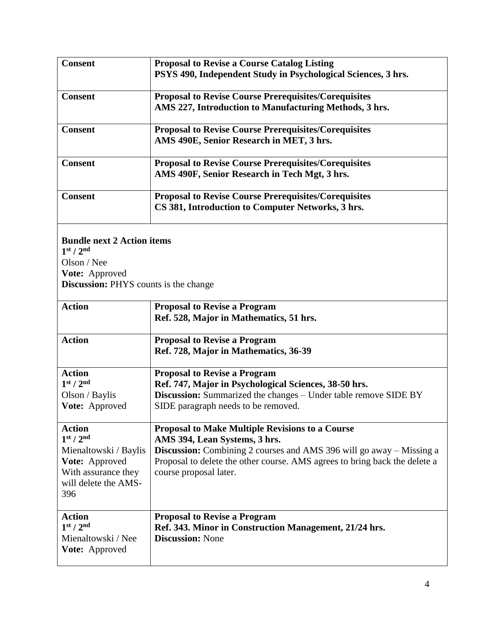| <b>Consent</b>                                                                                                                                      | <b>Proposal to Revise a Course Catalog Listing</b><br>PSYS 490, Independent Study in Psychological Sciences, 3 hrs.                                                                                                                                                            |  |  |
|-----------------------------------------------------------------------------------------------------------------------------------------------------|--------------------------------------------------------------------------------------------------------------------------------------------------------------------------------------------------------------------------------------------------------------------------------|--|--|
| <b>Consent</b>                                                                                                                                      | <b>Proposal to Revise Course Prerequisites/Corequisites</b><br>AMS 227, Introduction to Manufacturing Methods, 3 hrs.                                                                                                                                                          |  |  |
| <b>Consent</b>                                                                                                                                      | <b>Proposal to Revise Course Prerequisites/Corequisites</b><br>AMS 490E, Senior Research in MET, 3 hrs.                                                                                                                                                                        |  |  |
| <b>Consent</b>                                                                                                                                      | <b>Proposal to Revise Course Prerequisites/Corequisites</b><br>AMS 490F, Senior Research in Tech Mgt, 3 hrs.                                                                                                                                                                   |  |  |
| <b>Consent</b>                                                                                                                                      | <b>Proposal to Revise Course Prerequisites/Corequisites</b><br>CS 381, Introduction to Computer Networks, 3 hrs.                                                                                                                                                               |  |  |
| 1 <sup>st</sup> / 2 <sup>nd</sup><br>Olson / Nee                                                                                                    | <b>Bundle next 2 Action items</b>                                                                                                                                                                                                                                              |  |  |
| Vote: Approved<br><b>Discussion:</b> PHYS counts is the change                                                                                      |                                                                                                                                                                                                                                                                                |  |  |
| <b>Action</b>                                                                                                                                       | <b>Proposal to Revise a Program</b><br>Ref. 528, Major in Mathematics, 51 hrs.                                                                                                                                                                                                 |  |  |
| <b>Action</b>                                                                                                                                       | <b>Proposal to Revise a Program</b><br>Ref. 728, Major in Mathematics, 36-39                                                                                                                                                                                                   |  |  |
| <b>Action</b><br>1 <sup>st</sup> / 2 <sup>nd</sup><br>Olson / Baylis<br>Vote: Approved                                                              | <b>Proposal to Revise a Program</b><br>Ref. 747, Major in Psychological Sciences, 38-50 hrs.<br><b>Discussion:</b> Summarized the changes – Under table remove SIDE BY<br>SIDE paragraph needs to be removed.                                                                  |  |  |
| <b>Action</b><br>1 <sup>st</sup> / 2 <sup>nd</sup><br>Mienaltowski / Baylis<br>Vote: Approved<br>With assurance they<br>will delete the AMS-<br>396 | <b>Proposal to Make Multiple Revisions to a Course</b><br>AMS 394, Lean Systems, 3 hrs.<br><b>Discussion:</b> Combining 2 courses and AMS 396 will go away – Missing a<br>Proposal to delete the other course. AMS agrees to bring back the delete a<br>course proposal later. |  |  |
| <b>Action</b><br>1 <sup>st</sup> / 2 <sup>nd</sup><br>Mienaltowski / Nee<br>Vote: Approved                                                          | <b>Proposal to Revise a Program</b><br>Ref. 343. Minor in Construction Management, 21/24 hrs.<br><b>Discussion: None</b>                                                                                                                                                       |  |  |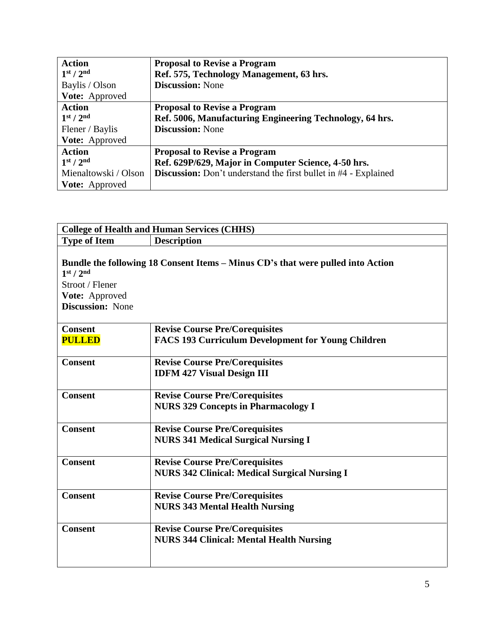| <b>Action</b>                     | <b>Proposal to Revise a Program</b>                                    |
|-----------------------------------|------------------------------------------------------------------------|
| 1 <sup>st</sup> / 2 <sup>nd</sup> | Ref. 575, Technology Management, 63 hrs.                               |
| Baylis / Olson                    | <b>Discussion:</b> None                                                |
| Vote: Approved                    |                                                                        |
| <b>Action</b>                     | <b>Proposal to Revise a Program</b>                                    |
| 1 <sup>st</sup> / 2 <sup>nd</sup> | Ref. 5006, Manufacturing Engineering Technology, 64 hrs.               |
| Flener / Baylis                   | <b>Discussion:</b> None                                                |
| Vote: Approved                    |                                                                        |
| <b>Action</b>                     | <b>Proposal to Revise a Program</b>                                    |
| 1 <sup>st</sup> / 2 <sup>nd</sup> | Ref. 629P/629, Major in Computer Science, 4-50 hrs.                    |
| Mienaltowski / Olson              | <b>Discussion:</b> Don't understand the first bullet in #4 - Explained |
| <b>Vote:</b> Approved             |                                                                        |

| <b>College of Health and Human Services (CHHS)</b>                                                |                                                                                 |  |
|---------------------------------------------------------------------------------------------------|---------------------------------------------------------------------------------|--|
| <b>Type of Item</b>                                                                               | <b>Description</b>                                                              |  |
| 1 <sup>st</sup> / 2 <sup>nd</sup><br>Stroot / Flener<br>Vote: Approved<br><b>Discussion: None</b> | Bundle the following 18 Consent Items – Minus CD's that were pulled into Action |  |
| <b>Consent</b>                                                                                    | <b>Revise Course Pre/Corequisites</b>                                           |  |
| <b>PULLED</b>                                                                                     | FACS 193 Curriculum Development for Young Children                              |  |
| <b>Consent</b>                                                                                    | <b>Revise Course Pre/Corequisites</b>                                           |  |
|                                                                                                   | <b>IDFM 427 Visual Design III</b>                                               |  |
| <b>Consent</b>                                                                                    | <b>Revise Course Pre/Corequisites</b>                                           |  |
|                                                                                                   | <b>NURS 329 Concepts in Pharmacology I</b>                                      |  |
| <b>Consent</b>                                                                                    | <b>Revise Course Pre/Corequisites</b>                                           |  |
|                                                                                                   | <b>NURS 341 Medical Surgical Nursing I</b>                                      |  |
| <b>Consent</b>                                                                                    | <b>Revise Course Pre/Corequisites</b>                                           |  |
|                                                                                                   | <b>NURS 342 Clinical: Medical Surgical Nursing I</b>                            |  |
| <b>Consent</b>                                                                                    | <b>Revise Course Pre/Corequisites</b>                                           |  |
|                                                                                                   | <b>NURS 343 Mental Health Nursing</b>                                           |  |
| <b>Consent</b>                                                                                    | <b>Revise Course Pre/Corequisites</b>                                           |  |
|                                                                                                   | <b>NURS 344 Clinical: Mental Health Nursing</b>                                 |  |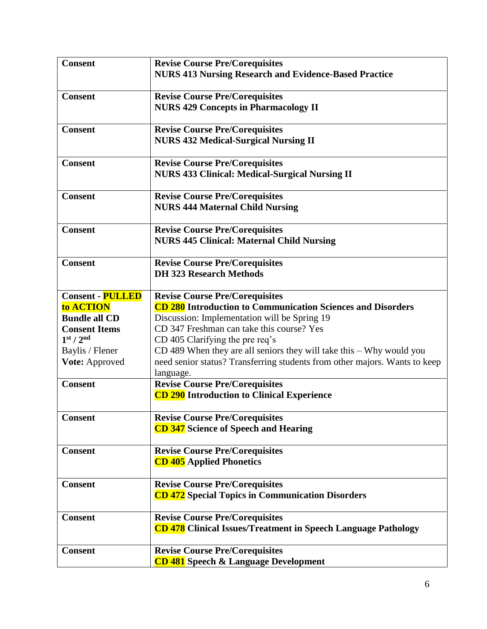| <b>Consent</b>                    | <b>Revise Course Pre/Corequisites</b><br><b>NURS 413 Nursing Research and Evidence-Based Practice</b> |
|-----------------------------------|-------------------------------------------------------------------------------------------------------|
|                                   |                                                                                                       |
| <b>Consent</b>                    | <b>Revise Course Pre/Corequisites</b>                                                                 |
|                                   | <b>NURS 429 Concepts in Pharmacology II</b>                                                           |
| <b>Consent</b>                    | <b>Revise Course Pre/Corequisites</b>                                                                 |
|                                   | <b>NURS 432 Medical-Surgical Nursing II</b>                                                           |
| <b>Consent</b>                    | <b>Revise Course Pre/Corequisites</b>                                                                 |
|                                   | <b>NURS 433 Clinical: Medical-Surgical Nursing II</b>                                                 |
| <b>Consent</b>                    | <b>Revise Course Pre/Corequisites</b>                                                                 |
|                                   | <b>NURS 444 Maternal Child Nursing</b>                                                                |
| <b>Consent</b>                    | <b>Revise Course Pre/Corequisites</b>                                                                 |
|                                   | <b>NURS 445 Clinical: Maternal Child Nursing</b>                                                      |
| <b>Consent</b>                    | <b>Revise Course Pre/Corequisites</b>                                                                 |
|                                   | <b>DH 323 Research Methods</b>                                                                        |
| <b>Consent - PULLED</b>           | <b>Revise Course Pre/Corequisites</b>                                                                 |
| to <b>ACTION</b>                  | CD 280 Introduction to Communication Sciences and Disorders                                           |
| <b>Bundle all CD</b>              | Discussion: Implementation will be Spring 19                                                          |
| <b>Consent Items</b>              | CD 347 Freshman can take this course? Yes                                                             |
| 1 <sup>st</sup> / 2 <sup>nd</sup> | CD 405 Clarifying the pre req's                                                                       |
| Baylis / Flener                   | $CD$ 489 When they are all seniors they will take this $-Why$ would you                               |
| Vote: Approved                    | need senior status? Transferring students from other majors. Wants to keep<br>language.               |
| <b>Consent</b>                    | <b>Revise Course Pre/Corequisites</b>                                                                 |
|                                   | CD 290 Introduction to Clinical Experience                                                            |
| <b>Consent</b>                    | <b>Revise Course Pre/Corequisites</b>                                                                 |
|                                   | <b>CD 347</b> Science of Speech and Hearing                                                           |
| <b>Consent</b>                    | <b>Revise Course Pre/Corequisites</b>                                                                 |
|                                   | <b>CD 405</b> Applied Phonetics                                                                       |
| <b>Consent</b>                    | <b>Revise Course Pre/Corequisites</b>                                                                 |
|                                   | <b>CD 472</b> Special Topics in Communication Disorders                                               |
| <b>Consent</b>                    | <b>Revise Course Pre/Corequisites</b>                                                                 |
|                                   | <b>CD 478</b> Clinical Issues/Treatment in Speech Language Pathology                                  |
| <b>Consent</b>                    | <b>Revise Course Pre/Corequisites</b>                                                                 |
|                                   | <b>CD 481</b> Speech & Language Development                                                           |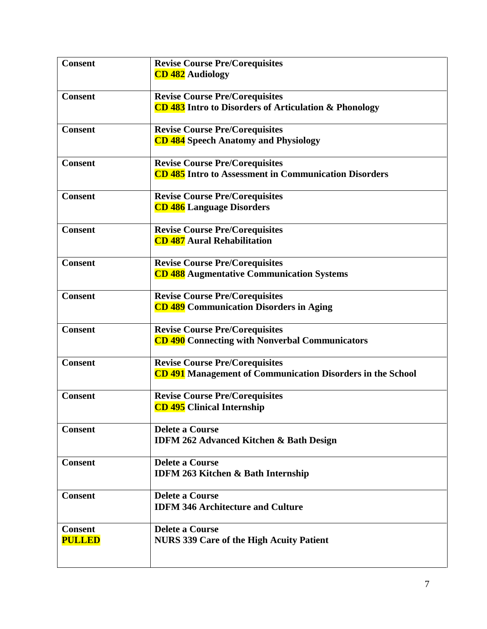| <b>Consent</b>                  | <b>Revise Course Pre/Corequisites</b><br><b>CD 482</b> Audiology                                           |
|---------------------------------|------------------------------------------------------------------------------------------------------------|
| <b>Consent</b>                  | <b>Revise Course Pre/Corequisites</b><br><b>CD 483</b> Intro to Disorders of Articulation & Phonology      |
| <b>Consent</b>                  | <b>Revise Course Pre/Corequisites</b><br><b>CD 484</b> Speech Anatomy and Physiology                       |
| <b>Consent</b>                  | <b>Revise Course Pre/Corequisites</b><br><b>CD 485</b> Intro to Assessment in Communication Disorders      |
| <b>Consent</b>                  | <b>Revise Course Pre/Corequisites</b><br><b>CD 486</b> Language Disorders                                  |
| <b>Consent</b>                  | <b>Revise Course Pre/Corequisites</b><br><b>CD 487</b> Aural Rehabilitation                                |
| <b>Consent</b>                  | <b>Revise Course Pre/Corequisites</b><br><b>CD 488</b> Augmentative Communication Systems                  |
| <b>Consent</b>                  | <b>Revise Course Pre/Corequisites</b><br><b>CD 489</b> Communication Disorders in Aging                    |
| <b>Consent</b>                  | <b>Revise Course Pre/Corequisites</b><br><b>CD 490</b> Connecting with Nonverbal Communicators             |
| <b>Consent</b>                  | <b>Revise Course Pre/Corequisites</b><br><b>CD 491</b> Management of Communication Disorders in the School |
| <b>Consent</b>                  | <b>Revise Course Pre/Corequisites</b><br><b>CD 495</b> Clinical Internship                                 |
| <b>Consent</b>                  | <b>Delete a Course</b><br><b>IDFM 262 Advanced Kitchen &amp; Bath Design</b>                               |
| <b>Consent</b>                  | <b>Delete a Course</b><br><b>IDFM 263 Kitchen &amp; Bath Internship</b>                                    |
| <b>Consent</b>                  | <b>Delete a Course</b><br><b>IDFM 346 Architecture and Culture</b>                                         |
| <b>Consent</b><br><b>PULLED</b> | <b>Delete a Course</b><br><b>NURS 339 Care of the High Acuity Patient</b>                                  |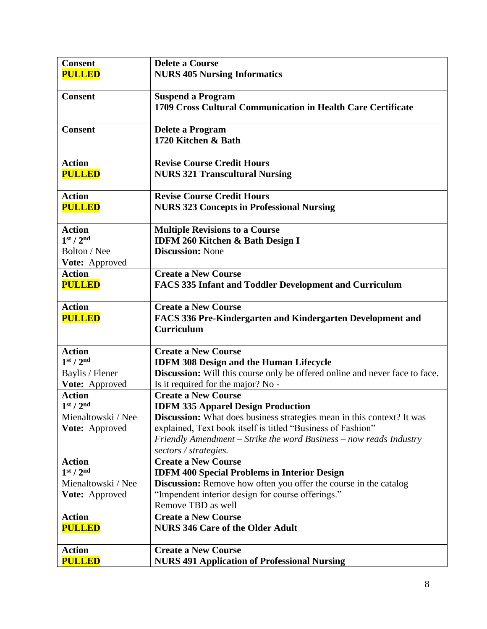| <b>Consent</b>                                     | <b>Delete a Course</b>                                                                                                                       |
|----------------------------------------------------|----------------------------------------------------------------------------------------------------------------------------------------------|
| <b>PULLED</b>                                      | <b>NURS 405 Nursing Informatics</b>                                                                                                          |
|                                                    |                                                                                                                                              |
| <b>Consent</b>                                     | <b>Suspend a Program</b>                                                                                                                     |
|                                                    | 1709 Cross Cultural Communication in Health Care Certificate                                                                                 |
|                                                    |                                                                                                                                              |
| <b>Consent</b>                                     | <b>Delete a Program</b>                                                                                                                      |
|                                                    | 1720 Kitchen & Bath                                                                                                                          |
|                                                    |                                                                                                                                              |
| <b>Action</b>                                      | <b>Revise Course Credit Hours</b>                                                                                                            |
| <b>PULLED</b>                                      | <b>NURS 321 Transcultural Nursing</b>                                                                                                        |
|                                                    |                                                                                                                                              |
| <b>Action</b>                                      | <b>Revise Course Credit Hours</b>                                                                                                            |
| <b>PULLED</b>                                      | <b>NURS 323 Concepts in Professional Nursing</b>                                                                                             |
|                                                    |                                                                                                                                              |
| <b>Action</b>                                      | <b>Multiple Revisions to a Course</b>                                                                                                        |
| 1 <sup>st</sup> / 2 <sup>nd</sup>                  | <b>IDFM 260 Kitchen &amp; Bath Design I</b>                                                                                                  |
| Bolton / Nee                                       | <b>Discussion: None</b>                                                                                                                      |
| Vote: Approved                                     |                                                                                                                                              |
| <b>Action</b>                                      | <b>Create a New Course</b>                                                                                                                   |
| <b>PULLED</b>                                      | <b>FACS 335 Infant and Toddler Development and Curriculum</b>                                                                                |
|                                                    |                                                                                                                                              |
| <b>Action</b>                                      | <b>Create a New Course</b>                                                                                                                   |
| <b>PULLED</b>                                      | FACS 336 Pre-Kindergarten and Kindergarten Development and                                                                                   |
|                                                    | <b>Curriculum</b>                                                                                                                            |
|                                                    |                                                                                                                                              |
| <b>Action</b><br>1 <sup>st</sup> / 2 <sup>nd</sup> | <b>Create a New Course</b>                                                                                                                   |
|                                                    | <b>IDFM 308 Design and the Human Lifecycle</b>                                                                                               |
| Baylis / Flener                                    | <b>Discussion:</b> Will this course only be offered online and never face to face.                                                           |
| Vote: Approved                                     | Is it required for the major? No -<br><b>Create a New Course</b>                                                                             |
| <b>Action</b><br>1 <sup>st</sup> / 2 <sup>nd</sup> |                                                                                                                                              |
| Mienaltowski / Nee                                 | <b>IDFM 335 Apparel Design Production</b>                                                                                                    |
| Vote: Approved                                     | <b>Discussion:</b> What does business strategies mean in this context? It was<br>explained, Text book itself is titled "Business of Fashion" |
|                                                    | Friendly Amendment – Strike the word Business – now reads Industry                                                                           |
|                                                    | sectors / strategies.                                                                                                                        |
| <b>Action</b>                                      | <b>Create a New Course</b>                                                                                                                   |
| 1 <sup>st</sup> / 2 <sup>nd</sup>                  | <b>IDFM 400 Special Problems in Interior Design</b>                                                                                          |
| Mienaltowski / Nee                                 | Discussion: Remove how often you offer the course in the catalog                                                                             |
| Vote: Approved                                     | "Impendent interior design for course offerings."                                                                                            |
|                                                    | Remove TBD as well                                                                                                                           |
| <b>Action</b>                                      | <b>Create a New Course</b>                                                                                                                   |
| <b>PULLED</b>                                      | <b>NURS 346 Care of the Older Adult</b>                                                                                                      |
|                                                    |                                                                                                                                              |
| <b>Action</b>                                      | <b>Create a New Course</b>                                                                                                                   |
| <b>PULLED</b>                                      | <b>NURS 491 Application of Professional Nursing</b>                                                                                          |